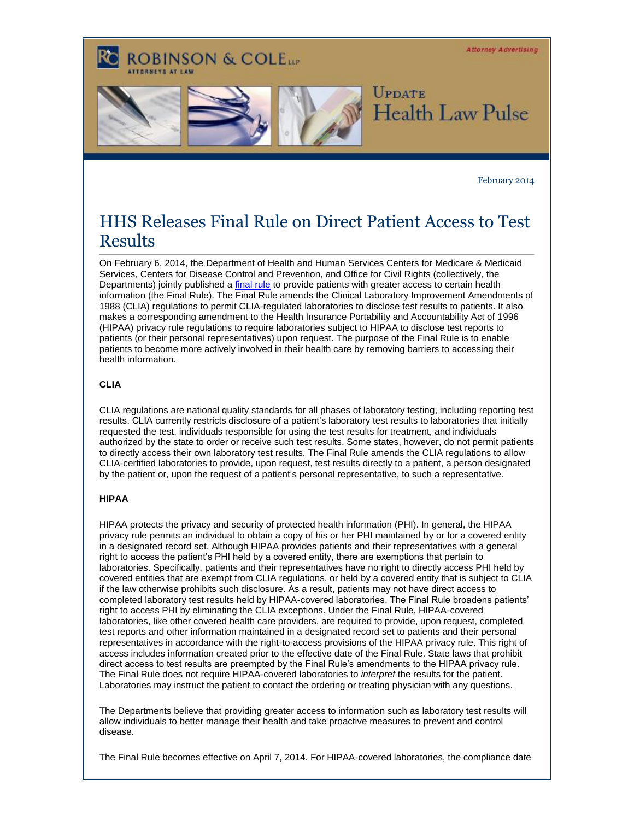**Attorney Advertising ROBINSON & COLELLE UPDATE Health Law Pulse** 

February 2014

## HHS Releases Final Rule on Direct Patient Access to Test Results

On February 6, 2014, the Department of Health and Human Services Centers for Medicare & Medicaid Services, Centers for Disease Control and Prevention, and Office for Civil Rights (collectively, the Departments) jointly published a [final rule](http://t2806904.invoc.us/track.aspx?id=402|2AD478|6F10|19C|ED|0|11C|1|480FEEFD&useSmaid=t&useCid=t&destination=http%3a%2f%2fwww.gpo.gov%2ffdsys%2fpkg%2fFR-2014-02-06%2fpdf%2f2014-02280.pdf&dchk=571A83C6) to provide patients with greater access to certain health information (the Final Rule). The Final Rule amends the Clinical Laboratory Improvement Amendments of 1988 (CLIA) regulations to permit CLIA-regulated laboratories to disclose test results to patients. It also makes a corresponding amendment to the Health Insurance Portability and Accountability Act of 1996 (HIPAA) privacy rule regulations to require laboratories subject to HIPAA to disclose test reports to patients (or their personal representatives) upon request. The purpose of the Final Rule is to enable patients to become more actively involved in their health care by removing barriers to accessing their health information.

## **CLIA**

CLIA regulations are national quality standards for all phases of laboratory testing, including reporting test results. CLIA currently restricts disclosure of a patient's laboratory test results to laboratories that initially requested the test, individuals responsible for using the test results for treatment, and individuals authorized by the state to order or receive such test results. Some states, however, do not permit patients to directly access their own laboratory test results. The Final Rule amends the CLIA regulations to allow CLIA-certified laboratories to provide, upon request, test results directly to a patient, a person designated by the patient or, upon the request of a patient's personal representative, to such a representative.

## **HIPAA**

HIPAA protects the privacy and security of protected health information (PHI). In general, the HIPAA privacy rule permits an individual to obtain a copy of his or her PHI maintained by or for a covered entity in a designated record set. Although HIPAA provides patients and their representatives with a general right to access the patient's PHI held by a covered entity, there are exemptions that pertain to laboratories. Specifically, patients and their representatives have no right to directly access PHI held by covered entities that are exempt from CLIA regulations, or held by a covered entity that is subject to CLIA if the law otherwise prohibits such disclosure. As a result, patients may not have direct access to completed laboratory test results held by HIPAA-covered laboratories. The Final Rule broadens patients' right to access PHI by eliminating the CLIA exceptions. Under the Final Rule, HIPAA-covered laboratories, like other covered health care providers, are required to provide, upon request, completed test reports and other information maintained in a designated record set to patients and their personal representatives in accordance with the right-to-access provisions of the HIPAA privacy rule. This right of access includes information created prior to the effective date of the Final Rule. State laws that prohibit direct access to test results are preempted by the Final Rule's amendments to the HIPAA privacy rule. The Final Rule does not require HIPAA-covered laboratories to *interpret* the results for the patient. Laboratories may instruct the patient to contact the ordering or treating physician with any questions.

The Departments believe that providing greater access to information such as laboratory test results will allow individuals to better manage their health and take proactive measures to prevent and control disease.

The Final Rule becomes effective on April 7, 2014. For HIPAA-covered laboratories, the compliance date